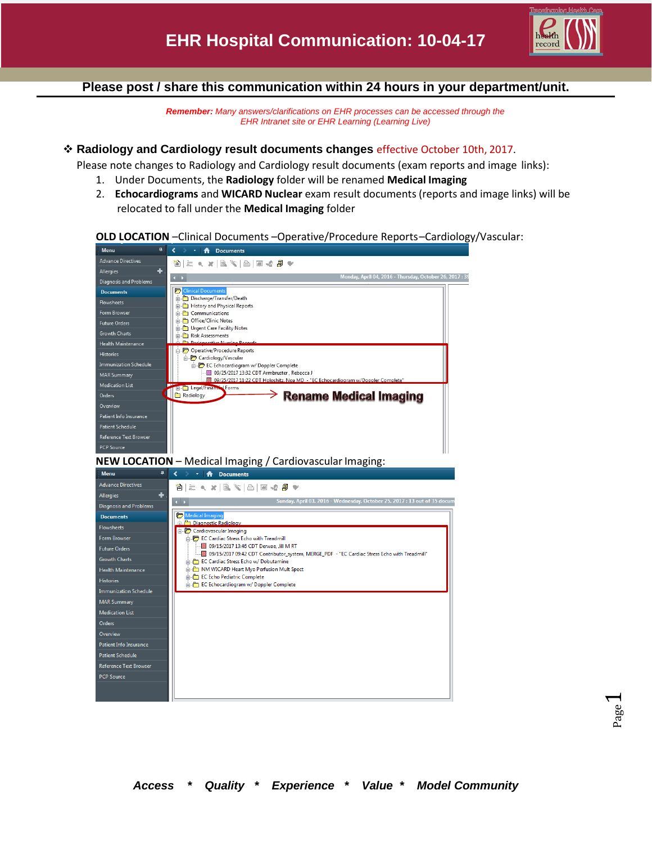

#### **Please post / share this communication within 24 hours in your department/unit.**

*Remember: Many answers/clarifications on EHR processes can be accessed through the EHR Intranet site or EHR Learning (Learning Live)*

#### **Radiology and Cardiology result documents changes** effective October 10th, 2017.

Please note changes to Radiology and Cardiology result documents (exam reports and image links):

- 1. Under Documents, the **Radiology** folder will be renamed **Medical Imaging**
- 2. **Echocardiograms** and **WICARD Nuclear** exam result documents (reports and image links) will be relocated to fall under the **Medical Imaging** folder



**PCP Source** 

#### **OLD LOCATION** –Clinical Documents –Operative/Procedure Reports–Cardiology/Vascular: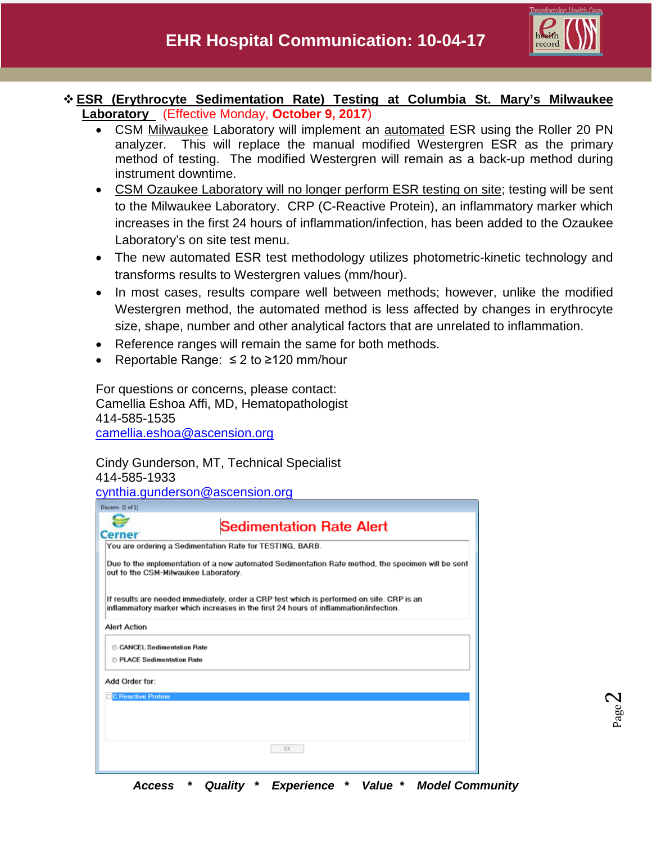

#### **ESR (Erythrocyte Sedimentation Rate) Testing at Columbia St. Mary's Milwaukee Laboratory** (Effective Monday, **October 9, 2017**)

- CSM Milwaukee Laboratory will implement an automated ESR using the Roller 20 PN analyzer. This will replace the manual modified Westergren ESR as the primary method of testing. The modified Westergren will remain as a back-up method during instrument downtime.
- CSM Ozaukee Laboratory will no longer perform ESR testing on site; testing will be sent to the Milwaukee Laboratory. CRP (C-Reactive Protein), an inflammatory marker which increases in the first 24 hours of inflammation/infection, has been added to the Ozaukee Laboratory's on site test menu.
- The new automated ESR test methodology utilizes photometric-kinetic technology and transforms results to Westergren values (mm/hour).
- In most cases, results compare well between methods; however, unlike the modified Westergren method, the automated method is less affected by changes in erythrocyte size, shape, number and other analytical factors that are unrelated to inflammation.
- Reference ranges will remain the same for both methods.
- Reportable Range: ≤ 2 to ≥120 mm/hour

For questions or concerns, please contact: Camellia Eshoa Affi, MD, Hematopathologist 414-585-1535 [camellia.eshoa@ascension.org](mailto:camellia.eshoa@ascension.org)

## Cindy Gunderson, MT, Technical Specialist 414-585-1933

[cynthia.gunderson@ascension.org](mailto:cynthia.gunderson@ascension.org)

| Discern: (1 of 1)                                              |                                                                                                                                                                                   |
|----------------------------------------------------------------|-----------------------------------------------------------------------------------------------------------------------------------------------------------------------------------|
| <b>Cerner</b>                                                  | <b>Sedimentation Rate Alert</b>                                                                                                                                                   |
|                                                                | You are ordering a Sedimentation Rate for TESTING, BARB.                                                                                                                          |
| out to the CSM-Milwaukee Laboratory.                           | Due to the implementation of a new automated Sedimentation Rate method, the specimen will be sent                                                                                 |
|                                                                | If results are needed immediately, order a CRP test which is performed on site. CRP is an<br>inflammatory marker which increases in the first 24 hours of inflammation/infection. |
| <b>Alert Action</b>                                            |                                                                                                                                                                                   |
| CANCEL Sedimentation Rate<br><b>E PLACE Sedimentation Rate</b> |                                                                                                                                                                                   |
| Add Order for:                                                 |                                                                                                                                                                                   |
| <b>C Reactive Protein</b>                                      |                                                                                                                                                                                   |
|                                                                |                                                                                                                                                                                   |
|                                                                |                                                                                                                                                                                   |
|                                                                | <b>OK</b>                                                                                                                                                                         |

*Access \* Quality \* Experience \* Value \* Model Community*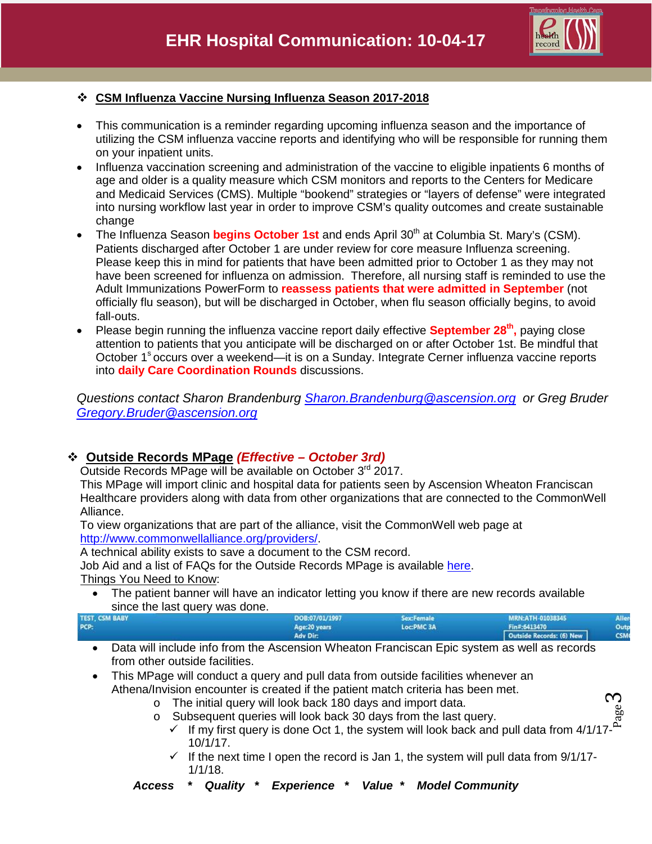

ო

### **CSM Influenza Vaccine Nursing Influenza Season 2017-2018**

- This communication is a reminder regarding upcoming influenza season and the importance of utilizing the CSM influenza vaccine reports and identifying who will be responsible for running them on your inpatient units.
- Influenza vaccination screening and administration of the vaccine to eligible inpatients 6 months of age and older is a quality measure which CSM monitors and reports to the Centers for Medicare and Medicaid Services (CMS). Multiple "bookend" strategies or "layers of defense" were integrated into nursing workflow last year in order to improve CSM's quality outcomes and create sustainable change
- The Influenza Season **begins October 1st** and ends April 30<sup>th</sup> at Columbia St. Mary's (CSM). Patients discharged after October 1 are under review for core measure Influenza screening. Please keep this in mind for patients that have been admitted prior to October 1 as they may not have been screened for influenza on admission. Therefore, all nursing staff is reminded to use the Adult Immunizations PowerForm to **reassess patients that were admitted in September** (not officially flu season), but will be discharged in October, when flu season officially begins, to avoid fall-outs.
- Please begin running the influenza vaccine report daily effective **September 28<sup>th</sup>**, paying close attention to patients that you anticipate will be discharged on or after October 1st. Be mindful that October 1<sup>s</sup> occurs over a weekend—it is on a Sunday. Integrate Cerner influenza vaccine reports into **daily Care Coordination Rounds** discussions.

*Questions contact Sharon Brandenburg [Sharon.Brandenburg@ascension.org](mailto:Sharon.Brandenburg@ascension.org) or Greg Bruder [Gregory.Bruder@ascension.org](mailto:Gregory.Bruder@ascension.org)* 

# **Outside Records MPage** *(Effective – October 3rd)*

Outside Records MPage will be available on October 3<sup>rd</sup> 2017.

This MPage will import clinic and hospital data for patients seen by Ascension Wheaton Franciscan Healthcare providers along with data from other organizations that are connected to the CommonWell Alliance.

To view organizations that are part of the alliance, visit the CommonWell web page at [http://www.commonwellalliance.org/providers/.](http://www.commonwellalliance.org/providers/)

A technical ability exists to save a document to the CSM record.

Job Aid and a list of FAQs for the Outside Records MPage is available [here.](http://csmintranet.columbia-stmarys.org/ehr/jobaids.html)

Things You Need to Know:

• The patient banner will have an indicator letting you know if there are new records available since the last query was done.

| <b>TEST, CSM BABY</b> | DOB:07/01/1997  | <b>Sex:Female</b> | MRN:ATH-01038345 | Aller |  |
|-----------------------|-----------------|-------------------|------------------|-------|--|
| PCP:                  | Age:20 years    | Loc:PMC 3A        | Fin#:6413470     | Outp  |  |
|                       | <b>Adv Dir.</b> |                   |                  |       |  |
|                       |                 |                   |                  |       |  |

- Data will include info from the Ascension Wheaton Franciscan Epic system as well as records from other outside facilities.
- This MPage will conduct a query and pull data from outside facilities whenever an Athena/Invision encounter is created if the patient match criteria has been met.
	- o The initial query will look back 180 days and import data.
	- o Subsequent queries will look back 30 days from the last query.
- Page  $\checkmark$  If my first query is done Oct 1, the system will look back and pull data from 4/1/17-10/1/17.
	- $\checkmark$  If the next time I open the record is Jan 1, the system will pull data from 9/1/17-1/1/18.
	- *Access \* Quality \* Experience \* Value \* Model Community*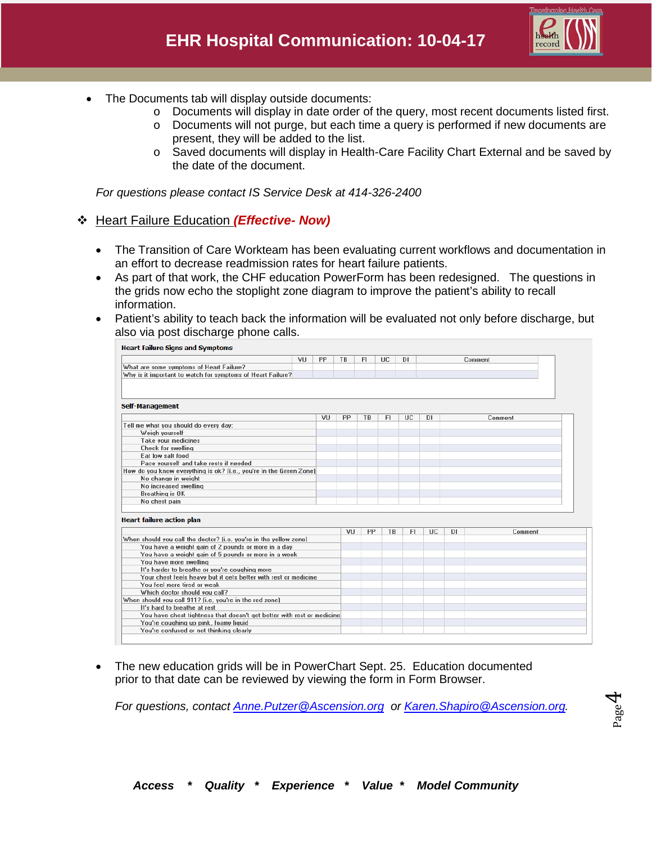

- The Documents tab will display outside documents:
	- o Documents will display in date order of the query, most recent documents listed first.
	- $\circ$  Documents will not purge, but each time a query is performed if new documents are present, they will be added to the list.
	- o Saved documents will display in Health-Care Facility Chart External and be saved by the date of the document.

*For questions please contact IS Service Desk at 414-326-2400*

### Heart Failure Education *(Effective- Now)*

- The Transition of Care Workteam has been evaluating current workflows and documentation in an effort to decrease readmission rates for heart failure patients.
- As part of that work, the CHF education PowerForm has been redesigned. The questions in the grids now echo the stoplight zone diagram to improve the patient's ability to recall information.
- Patient's ability to teach back the information will be evaluated not only before discharge, but also via post discharge phone calls.

|                                                                                         | VU<br>PP | TB | FI. | UC. | DI. |           |           | Comment |
|-----------------------------------------------------------------------------------------|----------|----|-----|-----|-----|-----------|-----------|---------|
| What are some symptoms of Heart Failure?                                                |          |    |     |     |     |           |           |         |
| Why is it important to watch for symptoms of Heart Failure?                             |          |    |     |     |     |           |           |         |
|                                                                                         |          |    |     |     |     |           |           |         |
|                                                                                         |          |    |     |     |     |           |           |         |
| Self-Management                                                                         |          |    |     |     |     |           |           |         |
|                                                                                         | VU       | PP | TB  | FI. | UC  | <b>DI</b> |           | Comment |
| Tell me what you should do every day:                                                   |          |    |     |     |     |           |           |         |
| Weigh yourself                                                                          |          |    |     |     |     |           |           |         |
| Take your medicines                                                                     |          |    |     |     |     |           |           |         |
| <b>Check for swelling</b>                                                               |          |    |     |     |     |           |           |         |
| Eat low salt food                                                                       |          |    |     |     |     |           |           |         |
| Pace yourself and take rests if needed                                                  |          |    |     |     |     |           |           |         |
| How do you know everything is ok? (i.e., you're in the Green Zone)                      |          |    |     |     |     |           |           |         |
| No change in weight                                                                     |          |    |     |     |     |           |           |         |
| No increased swelling                                                                   |          |    |     |     |     |           |           |         |
| <b>Breathing is OK</b>                                                                  |          |    |     |     |     |           |           |         |
| No chest pain                                                                           |          |    |     |     |     |           |           |         |
|                                                                                         |          |    |     |     |     |           |           |         |
|                                                                                         |          |    |     |     |     |           |           |         |
| <b>Heart failure action plan</b>                                                        |          |    |     |     |     |           |           |         |
|                                                                                         |          | VU | PP  | TB  | FI. | <b>UC</b> | <b>DI</b> | Comment |
| When should you call the doctor? (i.e. you're in the yellow zone)                       |          |    |     |     |     |           |           |         |
| You have a weight gain of 2 pounds or more in a day                                     |          |    |     |     |     |           |           |         |
| You have a weight gain of 5 pounds or more in a week                                    |          |    |     |     |     |           |           |         |
| You have more swelling                                                                  |          |    |     |     |     |           |           |         |
| It's harder to breathe or you're coughing more                                          |          |    |     |     |     |           |           |         |
| Your chest feels heavy but it gets better with rest or medicine                         |          |    |     |     |     |           |           |         |
| You feel more tired or weak                                                             |          |    |     |     |     |           |           |         |
| Which doctor should you call?                                                           |          |    |     |     |     |           |           |         |
| When should you call 911? [i.e, you're in the red zone]<br>It's hard to breathe at rest |          |    |     |     |     |           |           |         |
| You have chest tightness that doesn't get better with rest or medicine                  |          |    |     |     |     |           |           |         |
| You're coughing up pink, foamy liquid                                                   |          |    |     |     |     |           |           |         |

• The new education grids will be in PowerChart Sept. 25. Education documented prior to that date can be reviewed by viewing the form in Form Browser.

*For questions, contact [Anne.Putzer@Ascension.org](mailto:Anne.Putzer@Ascension.org) or [Karen.Shapiro@Ascension.org.](mailto:Karen.Shapiro@Ascension.org)*

Page 4